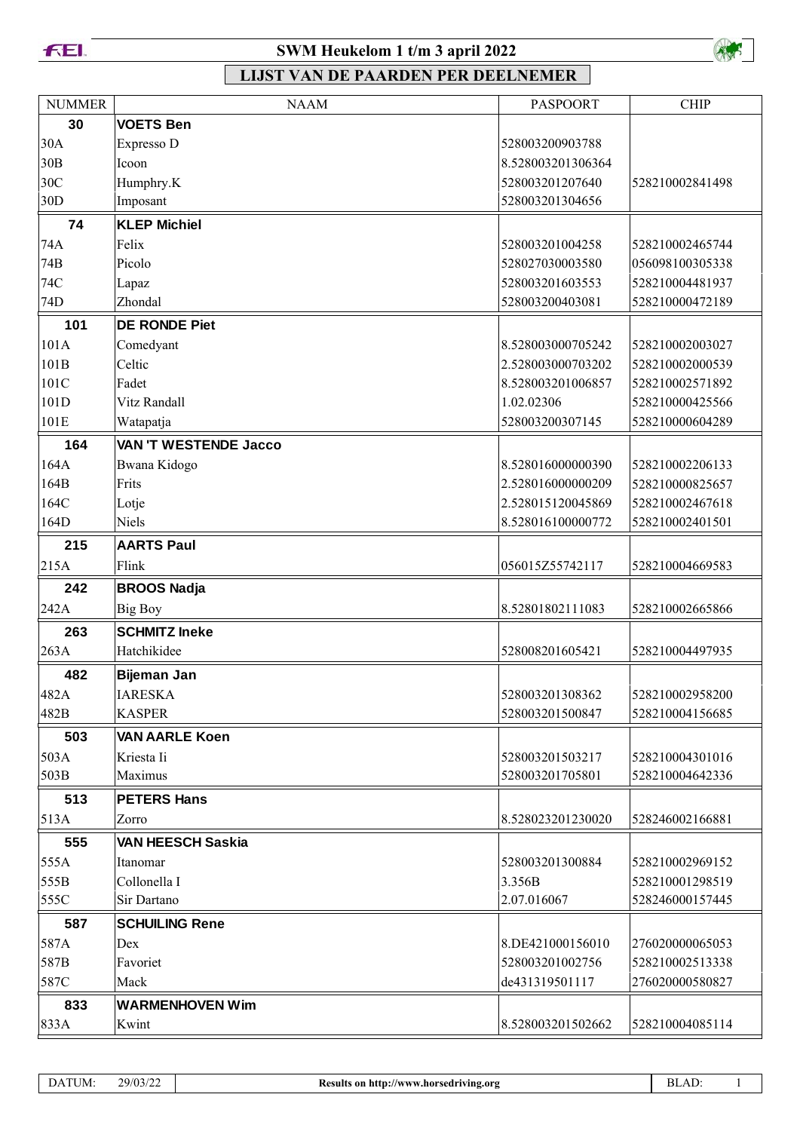**FEI.** 

### **SWM Heukelom 1 t/m 3 april 2022**



| <b>NUMMER</b>   | <b>NAAM</b>                  | <b>PASPOORT</b>   | <b>CHIP</b>     |
|-----------------|------------------------------|-------------------|-----------------|
| 30              | <b>VOETS Ben</b>             |                   |                 |
| 30A             | Expresso D                   | 528003200903788   |                 |
| 30B             | Icoon                        | 8.528003201306364 |                 |
| 30C             | Humphry.K                    | 528003201207640   | 528210002841498 |
| 30 <sub>D</sub> | Imposant                     | 528003201304656   |                 |
| 74              | <b>KLEP Michiel</b>          |                   |                 |
| 74A             | Felix                        | 528003201004258   | 528210002465744 |
| 74B             | Picolo                       | 528027030003580   | 056098100305338 |
| 74C             | Lapaz                        | 528003201603553   | 528210004481937 |
| 74D             | Zhondal                      | 528003200403081   | 528210000472189 |
| 101             | <b>DE RONDE Piet</b>         |                   |                 |
| 101A            | Comedyant                    | 8.528003000705242 | 528210002003027 |
| 101B            | Celtic                       | 2.528003000703202 | 528210002000539 |
| 101C            | Fadet                        | 8.528003201006857 | 528210002571892 |
| 101D            | Vitz Randall                 | 1.02.02306        | 528210000425566 |
| 101E            | Watapatja                    | 528003200307145   | 528210000604289 |
| 164             | <b>VAN 'T WESTENDE Jacco</b> |                   |                 |
| 164A            | Bwana Kidogo                 | 8.528016000000390 | 528210002206133 |
| 164B            | Frits                        | 2.528016000000209 | 528210000825657 |
| 164C            | Lotje                        | 2.528015120045869 | 528210002467618 |
| 164D            | Niels                        | 8.528016100000772 | 528210002401501 |
| 215             | <b>AARTS Paul</b>            |                   |                 |
| 215A            | Flink                        | 056015Z55742117   | 528210004669583 |
| 242             | <b>BROOS Nadja</b>           |                   |                 |
| 242A            | <b>Big Boy</b>               | 8.52801802111083  | 528210002665866 |
| 263             | <b>SCHMITZ Ineke</b>         |                   |                 |
| 263A            | Hatchikidee                  | 528008201605421   | 528210004497935 |
| 482             | Bijeman Jan                  |                   |                 |
| 482A            | <b>IARESKA</b>               | 528003201308362   | 528210002958200 |
| 482B            | <b>KASPER</b>                | 528003201500847   | 528210004156685 |
| 503             | <b>VAN AARLE Koen</b>        |                   |                 |
| 503A            | Kriesta Ii                   | 528003201503217   | 528210004301016 |
| 503B            | Maximus                      | 528003201705801   | 528210004642336 |
| 513             | <b>PETERS Hans</b>           |                   |                 |
| 513A            | Zorro                        | 8.528023201230020 | 528246002166881 |
| 555             | VAN HEESCH Saskia            |                   |                 |
| 555A            | Itanomar                     | 528003201300884   | 528210002969152 |
| 555B            | Collonella I                 | 3.356B            | 528210001298519 |
| 555C            | Sir Dartano                  | 2.07.016067       | 528246000157445 |
| 587             | <b>SCHUILING Rene</b>        |                   |                 |
| 587A            | Dex                          | 8.DE421000156010  | 276020000065053 |
| 587B            | Favoriet                     | 528003201002756   | 528210002513338 |
| 587C            | Mack                         | de431319501117    | 276020000580827 |
| 833             | <b>WARMENHOVEN Wim</b>       |                   |                 |
| 833A            | Kwint                        | 8.528003201502662 | 528210004085114 |
|                 |                              |                   |                 |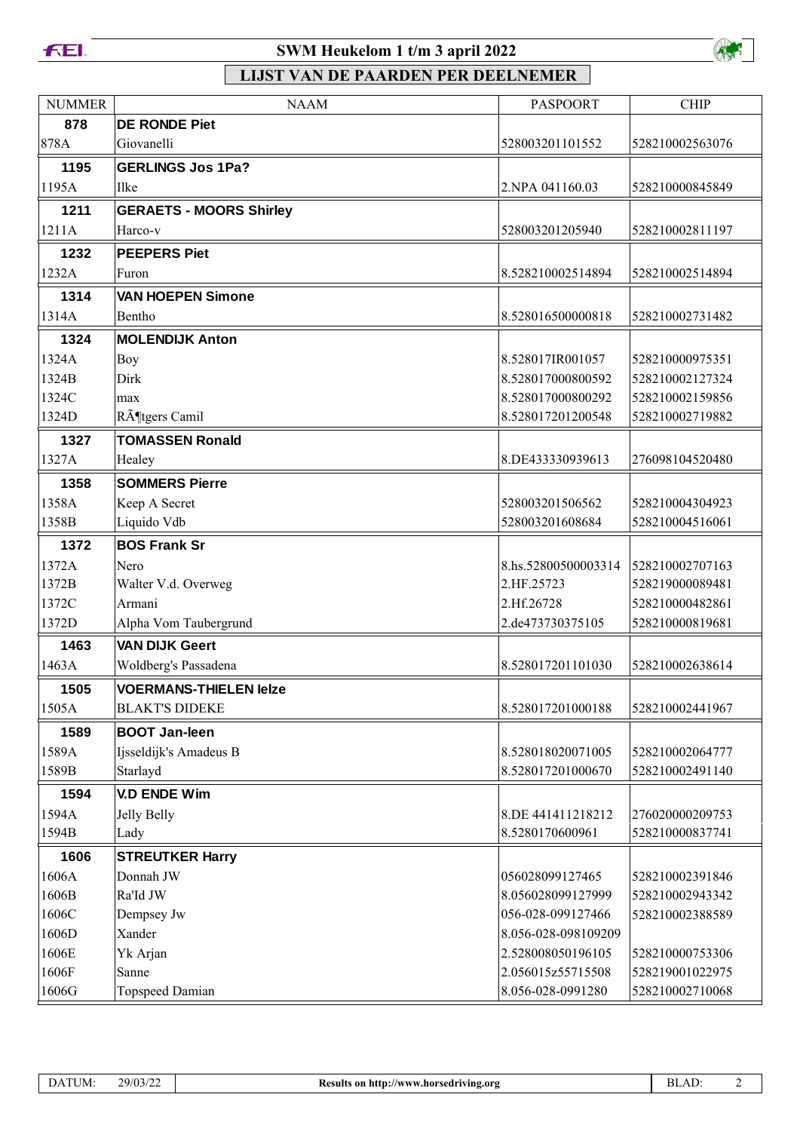



| <b>NUMMER</b> | <b>NAAM</b>                    | <b>PASPOORT</b>     | <b>CHIP</b>     |
|---------------|--------------------------------|---------------------|-----------------|
| 878           | <b>DE RONDE Piet</b>           |                     |                 |
| 878A          | Giovanelli                     | 528003201101552     | 528210002563076 |
| 1195          | <b>GERLINGS Jos 1Pa?</b>       |                     |                 |
| 1195A         | Ilke                           | 2. NPA 041160.03    | 528210000845849 |
| 1211          | <b>GERAETS - MOORS Shirley</b> |                     |                 |
| 1211A         | Harco-v                        | 528003201205940     | 528210002811197 |
| 1232          | <b>PEEPERS Piet</b>            |                     |                 |
| 1232A         | Furon                          | 8.528210002514894   | 528210002514894 |
| 1314          | <b>VAN HOEPEN Simone</b>       |                     |                 |
| 1314A         | Bentho                         | 8.528016500000818   | 528210002731482 |
| 1324          | <b>MOLENDIJK Anton</b>         |                     |                 |
| 1324A         | Boy                            | 8.528017IR001057    | 528210000975351 |
| 1324B         | Dirk                           | 8.528017000800592   | 528210002127324 |
| 1324C         | max                            | 8.528017000800292   | 528210002159856 |
| 1324D         | Rötgers Camil                  | 8.528017201200548   | 528210002719882 |
| 1327          | <b>TOMASSEN Ronald</b>         |                     |                 |
| 1327A         | Healey                         | 8.DE433330939613    | 276098104520480 |
| 1358          | <b>SOMMERS Pierre</b>          |                     |                 |
| 1358A         | Keep A Secret                  | 528003201506562     | 528210004304923 |
| 1358B         | Liquido Vdb                    | 528003201608684     | 528210004516061 |
| 1372          | <b>BOS Frank Sr</b>            |                     |                 |
| 1372A         | Nero                           | 8.hs.52800500003314 | 528210002707163 |
| 1372B         | Walter V.d. Overweg            | 2.HF.25723          | 528219000089481 |
| 1372C         | Armani                         | 2.Hf.26728          | 528210000482861 |
| 1372D         | Alpha Vom Taubergrund          | 2.de473730375105    | 528210000819681 |
| 1463          | <b>VAN DIJK Geert</b>          |                     |                 |
| 1463A         | Woldberg's Passadena           | 8.528017201101030   | 528210002638614 |
| 1505          | <b>VOERMANS-THIELEN leize</b>  |                     |                 |
| 1505A         | <b>BLAKT'S DIDEKE</b>          | 8.528017201000188   | 528210002441967 |
| 1589          | <b>BOOT Jan-leen</b>           |                     |                 |
| 1589A         | Ijsseldijk's Amadeus B         | 8.528018020071005   | 528210002064777 |
| 1589B         | Starlayd                       | 8.528017201000670   | 528210002491140 |
| 1594          | <b>V.D ENDE Wim</b>            |                     |                 |
| 1594A         | Jelly Belly                    | 8.DE 441411218212   | 276020000209753 |
| 1594B         | Lady                           | 8.5280170600961     | 528210000837741 |
| 1606          | <b>STREUTKER Harry</b>         |                     |                 |
| 1606A         | Donnah JW                      | 056028099127465     | 528210002391846 |
| 1606B         | Ra'Id JW                       | 8.056028099127999   | 528210002943342 |
| 1606C         | Dempsey Jw                     | 056-028-099127466   | 528210002388589 |
| 1606D         | Xander                         | 8.056-028-098109209 |                 |
| 1606E         | Yk Arjan                       | 2.528008050196105   | 528210000753306 |
| 1606F         | Sanne                          | 2.056015z55715508   | 528219001022975 |
| 1606G         | Topspeed Damian                | 8.056-028-0991280   | 528210002710068 |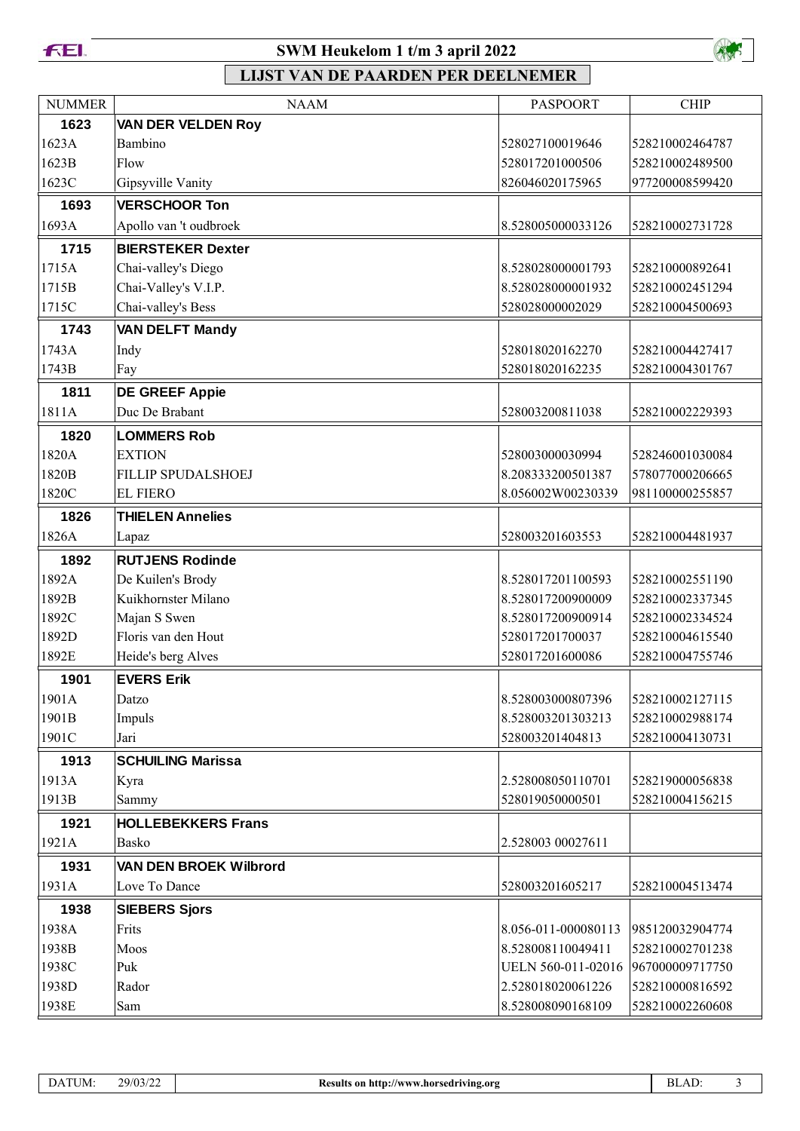



| <b>NUMMER</b> | <b>NAAM</b>               | <b>PASPOORT</b>     | <b>CHIP</b>     |
|---------------|---------------------------|---------------------|-----------------|
| 1623          | <b>VAN DER VELDEN Roy</b> |                     |                 |
| 1623A         | Bambino                   | 528027100019646     | 528210002464787 |
| 1623B         | Flow                      | 528017201000506     | 528210002489500 |
| 1623C         | Gipsyville Vanity         | 826046020175965     | 977200008599420 |
| 1693          | <b>VERSCHOOR Ton</b>      |                     |                 |
| 1693A         | Apollo van 't oudbroek    | 8.528005000033126   | 528210002731728 |
| 1715          | <b>BIERSTEKER Dexter</b>  |                     |                 |
| 1715A         | Chai-valley's Diego       | 8.528028000001793   | 528210000892641 |
| 1715B         | Chai-Valley's V.I.P.      | 8.528028000001932   | 528210002451294 |
| 1715C         | Chai-valley's Bess        | 528028000002029     | 528210004500693 |
| 1743          | <b>VAN DELFT Mandy</b>    |                     |                 |
| 1743A         | Indy                      | 528018020162270     | 528210004427417 |
| 1743B         | Fay                       | 528018020162235     | 528210004301767 |
| 1811          | <b>DE GREEF Appie</b>     |                     |                 |
| 1811A         | Duc De Brabant            | 528003200811038     | 528210002229393 |
| 1820          | <b>LOMMERS Rob</b>        |                     |                 |
| 1820A         | <b>EXTION</b>             | 528003000030994     | 528246001030084 |
| 1820B         | <b>FILLIP SPUDALSHOEJ</b> | 8.208333200501387   | 578077000206665 |
| 1820C         | <b>EL FIERO</b>           | 8.056002W00230339   | 981100000255857 |
| 1826          | <b>THIELEN Annelies</b>   |                     |                 |
| 1826A         | Lapaz                     | 528003201603553     | 528210004481937 |
| 1892          | <b>RUTJENS Rodinde</b>    |                     |                 |
| 1892A         | De Kuilen's Brody         | 8.528017201100593   | 528210002551190 |
| 1892B         | Kuikhornster Milano       | 8.528017200900009   | 528210002337345 |
| 1892C         | Majan S Swen              | 8.528017200900914   | 528210002334524 |
| 1892D         | Floris van den Hout       | 528017201700037     | 528210004615540 |
| 1892E         | Heide's berg Alves        | 528017201600086     | 528210004755746 |
| 1901          | <b>EVERS Erik</b>         |                     |                 |
| 1901A         | Datzo                     | 8.528003000807396   | 528210002127115 |
| 1901B         | Impuls                    | 8.528003201303213   | 528210002988174 |
| 1901C         | Jari                      | 528003201404813     | 528210004130731 |
| 1913          | <b>SCHUILING Marissa</b>  |                     |                 |
| 1913A         | Kyra                      | 2.528008050110701   | 528219000056838 |
| 1913B         | Sammy                     | 528019050000501     | 528210004156215 |
| 1921          | <b>HOLLEBEKKERS Frans</b> |                     |                 |
| 1921A         | Basko                     | 2.528003 00027611   |                 |
| 1931          | VAN DEN BROEK Wilbrord    |                     |                 |
| 1931A         | Love To Dance             | 528003201605217     | 528210004513474 |
| 1938          | <b>SIEBERS Sjors</b>      |                     |                 |
| 1938A         | Frits                     | 8.056-011-000080113 | 985120032904774 |
| 1938B         | Moos                      | 8.528008110049411   | 528210002701238 |
| 1938C         | Puk                       | UELN 560-011-02016  | 967000009717750 |
| 1938D         | Rador                     | 2.528018020061226   | 528210000816592 |
| 1938E         | Sam                       | 8.528008090168109   | 528210002260608 |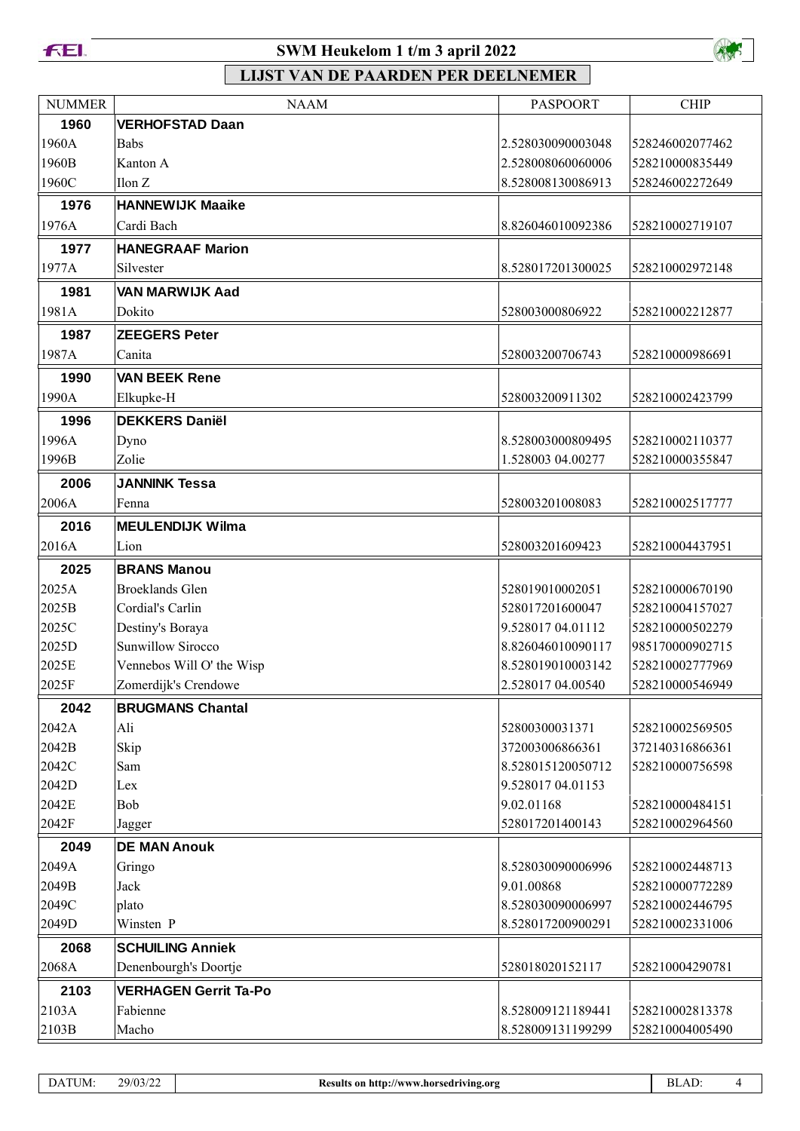



| <b>NUMMER</b>  | <b>NAAM</b>                  | <b>PASPOORT</b>                        | <b>CHIP</b>                        |
|----------------|------------------------------|----------------------------------------|------------------------------------|
| 1960           | <b>VERHOFSTAD Daan</b>       |                                        |                                    |
| 1960A          | <b>Babs</b>                  | 2.528030090003048                      | 528246002077462                    |
| 1960B          | Kanton A                     | 2.528008060060006                      | 528210000835449                    |
| 1960C          | Ilon Z                       | 8.528008130086913                      | 528246002272649                    |
| 1976           | <b>HANNEWIJK Maaike</b>      |                                        |                                    |
| 1976A          | Cardi Bach                   | 8.826046010092386                      | 528210002719107                    |
| 1977           | <b>HANEGRAAF Marion</b>      |                                        |                                    |
| 1977A          | Silvester                    | 8.528017201300025                      | 528210002972148                    |
| 1981           | <b>VAN MARWIJK Aad</b>       |                                        |                                    |
| 1981A          | Dokito                       | 528003000806922                        | 528210002212877                    |
| 1987           | <b>ZEEGERS Peter</b>         |                                        |                                    |
| 1987A          | Canita                       | 528003200706743                        | 528210000986691                    |
| 1990           | <b>VAN BEEK Rene</b>         |                                        |                                    |
| 1990A          | Elkupke-H                    | 528003200911302                        | 528210002423799                    |
| 1996           | <b>DEKKERS Daniël</b>        |                                        |                                    |
| 1996A          | Dyno                         | 8.528003000809495                      | 528210002110377                    |
| 1996B          | Zolie                        | 1.528003 04.00277                      | 528210000355847                    |
| 2006           | <b>JANNINK Tessa</b>         |                                        |                                    |
| 2006A          | Fenna                        | 528003201008083                        | 528210002517777                    |
| 2016           | <b>MEULENDIJK Wilma</b>      |                                        |                                    |
| 2016A          | Lion                         | 528003201609423                        | 528210004437951                    |
| 2025           | <b>BRANS Manou</b>           |                                        |                                    |
| 2025A          | <b>Broeklands Glen</b>       | 528019010002051                        | 528210000670190                    |
| 2025B          | Cordial's Carlin             | 528017201600047                        | 528210004157027                    |
| 2025C          | Destiny's Boraya             | 9.528017 04.01112                      | 528210000502279                    |
| 2025D          | Sunwillow Sirocco            | 8.826046010090117                      | 985170000902715                    |
| 2025E          | Vennebos Will O' the Wisp    | 8.528019010003142                      | 528210002777969                    |
| 2025F          | Zomerdijk's Crendowe         | 2.528017 04.00540                      | 528210000546949                    |
| 2042           | <b>BRUGMANS Chantal</b>      |                                        |                                    |
| 2042A          | Ali                          | 52800300031371                         | 528210002569505                    |
| 2042B          | Skip                         | 372003006866361                        | 372140316866361                    |
| 2042C          | Sam                          | 8.528015120050712                      | 528210000756598                    |
| 2042D          | Lex                          | 9.528017 04.01153                      |                                    |
| 2042E          | Bob                          | 9.02.01168                             | 528210000484151                    |
| 2042F          | Jagger                       | 528017201400143                        | 528210002964560                    |
| 2049           | <b>DE MAN Anouk</b>          |                                        |                                    |
| 2049A          | Gringo                       | 8.528030090006996                      | 528210002448713                    |
| 2049B          | Jack                         | 9.01.00868                             | 528210000772289                    |
| 2049C<br>2049D | plato<br>Winsten P           | 8.528030090006997<br>8.528017200900291 | 528210002446795<br>528210002331006 |
|                |                              |                                        |                                    |
| 2068<br>2068A  | <b>SCHUILING Anniek</b>      | 528018020152117                        | 528210004290781                    |
|                | Denenbourgh's Doortje        |                                        |                                    |
| 2103           | <b>VERHAGEN Gerrit Ta-Po</b> |                                        |                                    |
| 2103A          | Fabienne                     | 8.528009121189441                      | 528210002813378                    |
| 2103B          | Macho                        | 8.528009131199299                      | 528210004005490                    |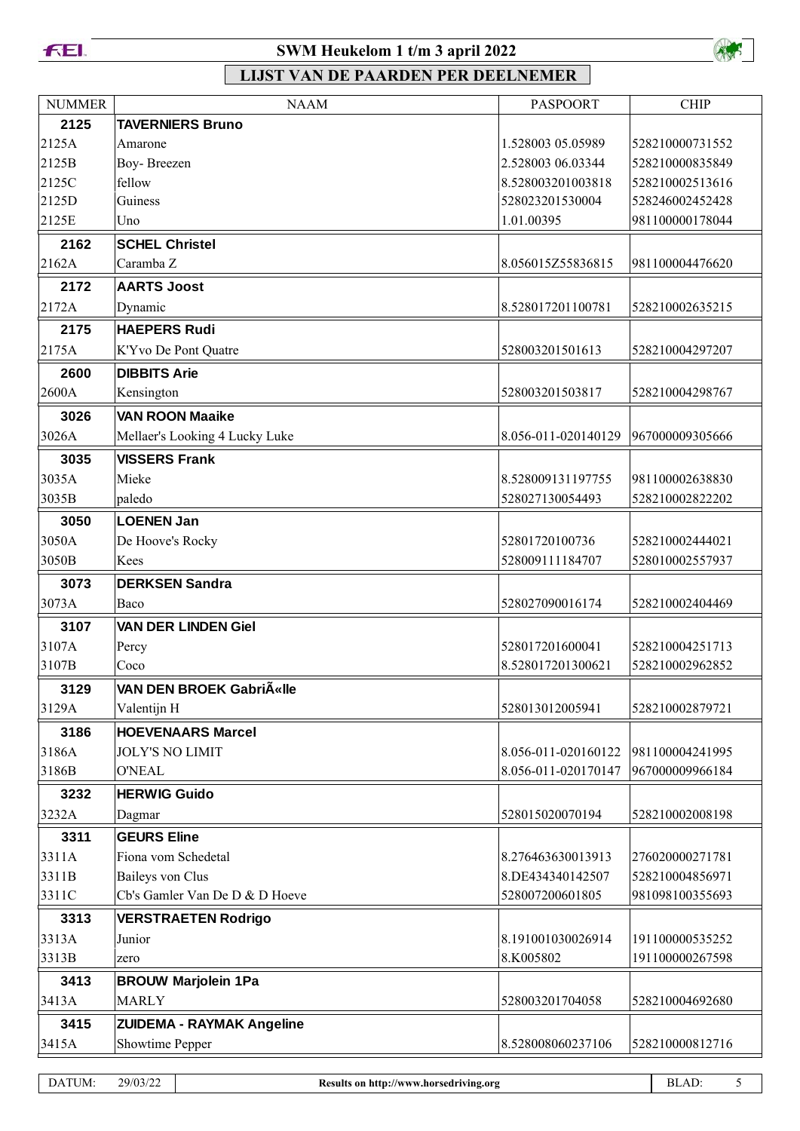



# **LIJST VAN DE PAARDEN PER DEELNEMER**

| <b>NUMMER</b> | <b>NAAM</b>                      | <b>PASPOORT</b>     | <b>CHIP</b>     |
|---------------|----------------------------------|---------------------|-----------------|
| 2125          | <b>TAVERNIERS Bruno</b>          |                     |                 |
| 2125A         | Amarone                          | 1.528003 05.05989   | 528210000731552 |
| 2125B         | Boy-Breezen                      | 2.528003 06.03344   | 528210000835849 |
| 2125C         | fellow                           | 8.528003201003818   | 528210002513616 |
| 2125D         | Guiness                          | 528023201530004     | 528246002452428 |
| 2125E         | Uno                              | 1.01.00395          | 981100000178044 |
| 2162          | <b>SCHEL Christel</b>            |                     |                 |
| 2162A         | Caramba Z                        | 8.056015Z55836815   | 981100004476620 |
| 2172          | <b>AARTS Joost</b>               |                     |                 |
| 2172A         | Dynamic                          | 8.528017201100781   | 528210002635215 |
| 2175          | <b>HAEPERS Rudi</b>              |                     |                 |
| 2175A         | K'Yvo De Pont Quatre             | 528003201501613     | 528210004297207 |
| 2600          | <b>DIBBITS Arie</b>              |                     |                 |
| 2600A         | Kensington                       | 528003201503817     | 528210004298767 |
| 3026          | <b>VAN ROON Maaike</b>           |                     |                 |
| 3026A         | Mellaer's Looking 4 Lucky Luke   | 8.056-011-020140129 | 967000009305666 |
| 3035          | <b>VISSERS Frank</b>             |                     |                 |
| 3035A         | Mieke                            | 8.528009131197755   | 981100002638830 |
| 3035B         | paledo                           | 528027130054493     | 528210002822202 |
| 3050          | <b>LOENEN Jan</b>                |                     |                 |
| 3050A         | De Hoove's Rocky                 | 52801720100736      | 528210002444021 |
| 3050B         | Kees                             | 528009111184707     | 528010002557937 |
| 3073          | <b>DERKSEN Sandra</b>            |                     |                 |
| 3073A         | Baco                             | 528027090016174     | 528210002404469 |
| 3107          | <b>VAN DER LINDEN Giel</b>       |                     |                 |
| 3107A         | Percy                            | 528017201600041     | 528210004251713 |
| 3107B         | Coco                             | 8.528017201300621   | 528210002962852 |
| 3129          | VAN DEN BROEK Gabri«Ile          |                     |                 |
| 3129A         | Valentijn H                      | 528013012005941     | 528210002879721 |
| 3186          | <b>HOEVENAARS Marcel</b>         |                     |                 |
| 3186A         | <b>JOLY'S NO LIMIT</b>           | 8.056-011-020160122 | 981100004241995 |
| 3186B         | <b>O'NEAL</b>                    | 8.056-011-020170147 | 967000009966184 |
| 3232          | <b>HERWIG Guido</b>              |                     |                 |
| 3232A         | Dagmar                           | 528015020070194     | 528210002008198 |
| 3311          | <b>GEURS Eline</b>               |                     |                 |
| 3311A         | Fiona vom Schedetal              | 8.276463630013913   | 276020000271781 |
| 3311B         | Baileys von Clus                 | 8.DE434340142507    | 528210004856971 |
| 3311C         | Cb's Gamler Van De D & D Hoeve   | 528007200601805     | 981098100355693 |
| 3313          | <b>VERSTRAETEN Rodrigo</b>       |                     |                 |
| 3313A         | Junior                           | 8.191001030026914   | 191100000535252 |
| 3313B         | zero                             | 8.K005802           | 191100000267598 |
| 3413          | <b>BROUW Marjolein 1Pa</b>       |                     |                 |
| 3413A         | <b>MARLY</b>                     | 528003201704058     | 528210004692680 |
| 3415          | <b>ZUIDEMA - RAYMAK Angeline</b> |                     |                 |
| 3415A         | Showtime Pepper                  | 8.528008060237106   | 528210000812716 |
|               |                                  |                     |                 |

DATUM: 29/03/22 **Results on http://www.horsedriving.org** BLAD: 5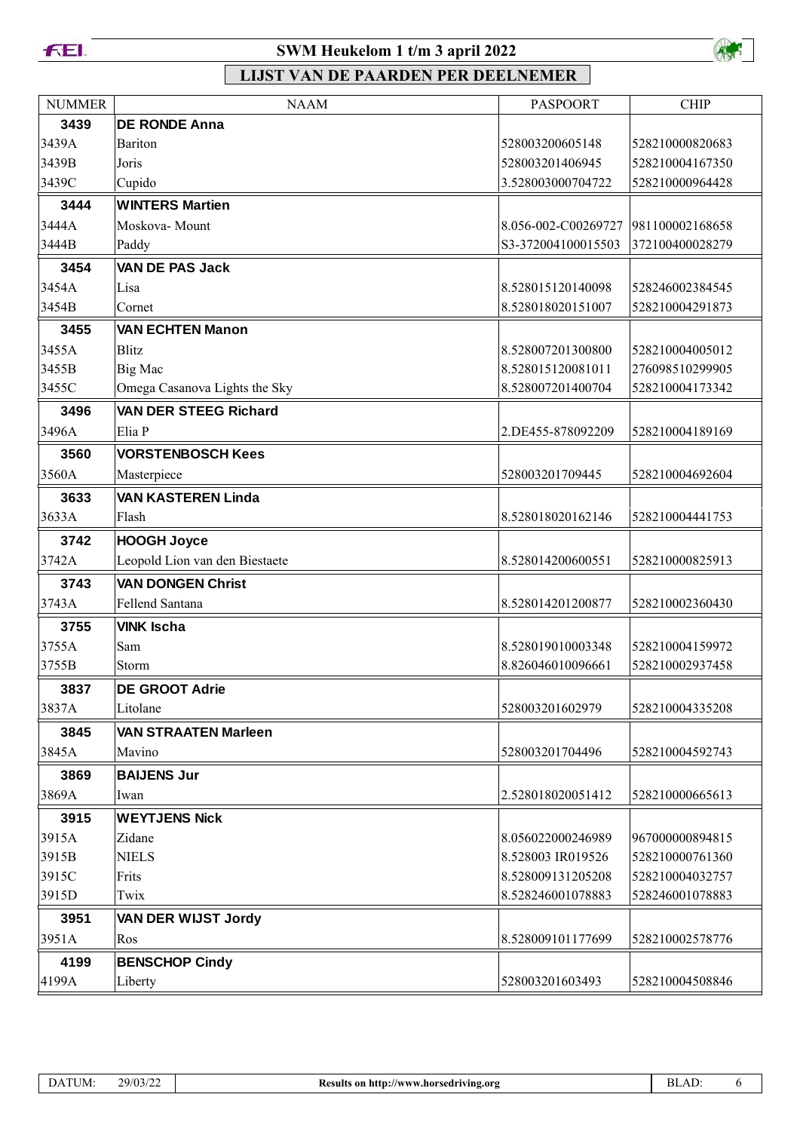



| <b>NUMMER</b> | <b>NAAM</b>                    | <b>PASPOORT</b>     | <b>CHIP</b>     |
|---------------|--------------------------------|---------------------|-----------------|
| 3439          | <b>DE RONDE Anna</b>           |                     |                 |
| 3439A         | Bariton                        | 528003200605148     | 528210000820683 |
| 3439B         | Joris                          | 528003201406945     | 528210004167350 |
| 3439C         | Cupido                         | 3.528003000704722   | 528210000964428 |
| 3444          | <b>WINTERS Martien</b>         |                     |                 |
| 3444A         | Moskova-Mount                  | 8.056-002-C00269727 | 981100002168658 |
| 3444B         | Paddy                          | S3-372004100015503  | 372100400028279 |
| 3454          | <b>VAN DE PAS Jack</b>         |                     |                 |
| 3454A         | Lisa                           | 8.528015120140098   | 528246002384545 |
| 3454B         | Cornet                         | 8.528018020151007   | 528210004291873 |
| 3455          | <b>VAN ECHTEN Manon</b>        |                     |                 |
| 3455A         | <b>Blitz</b>                   | 8.528007201300800   | 528210004005012 |
| 3455B         | Big Mac                        | 8.528015120081011   | 276098510299905 |
| 3455C         | Omega Casanova Lights the Sky  | 8.528007201400704   | 528210004173342 |
| 3496          | <b>VAN DER STEEG Richard</b>   |                     |                 |
| 3496A         | Elia P                         | 2.DE455-878092209   | 528210004189169 |
| 3560          | <b>VORSTENBOSCH Kees</b>       |                     |                 |
| 3560A         | Masterpiece                    | 528003201709445     | 528210004692604 |
| 3633          | <b>VAN KASTEREN Linda</b>      |                     |                 |
| 3633A         | Flash                          | 8.528018020162146   | 528210004441753 |
| 3742          | <b>HOOGH Joyce</b>             |                     |                 |
| 3742A         | Leopold Lion van den Biestaete | 8.528014200600551   | 528210000825913 |
| 3743          | <b>VAN DONGEN Christ</b>       |                     |                 |
| 3743A         | Fellend Santana                | 8.528014201200877   | 528210002360430 |
| 3755          | <b>VINK Ischa</b>              |                     |                 |
| 3755A         | Sam                            | 8.528019010003348   | 528210004159972 |
| 3755B         | Storm                          | 8.826046010096661   | 528210002937458 |
| 3837          | <b>DE GROOT Adrie</b>          |                     |                 |
| 3837A         | Litolane                       | 528003201602979     | 528210004335208 |
| 3845          | <b>VAN STRAATEN Marleen</b>    |                     |                 |
| 3845A         | Mavino                         | 528003201704496     | 528210004592743 |
| 3869          | <b>BAIJENS Jur</b>             |                     |                 |
| 3869A         | Iwan                           | 2.528018020051412   | 528210000665613 |
| 3915          | <b>WEYTJENS Nick</b>           |                     |                 |
| 3915A         | Zidane                         | 8.056022000246989   | 967000000894815 |
| 3915B         | <b>NIELS</b>                   | 8.528003 IR019526   | 528210000761360 |
| 3915C         | Frits                          | 8.528009131205208   | 528210004032757 |
| 3915D         | Twix                           | 8.528246001078883   | 528246001078883 |
| 3951          | VAN DER WIJST Jordy            |                     |                 |
| 3951A         | Ros                            | 8.528009101177699   | 528210002578776 |
| 4199          | <b>BENSCHOP Cindy</b>          |                     |                 |
| 4199A         | Liberty                        | 528003201603493     | 528210004508846 |

| DATUM: | 29/03/22 |
|--------|----------|
|        |          |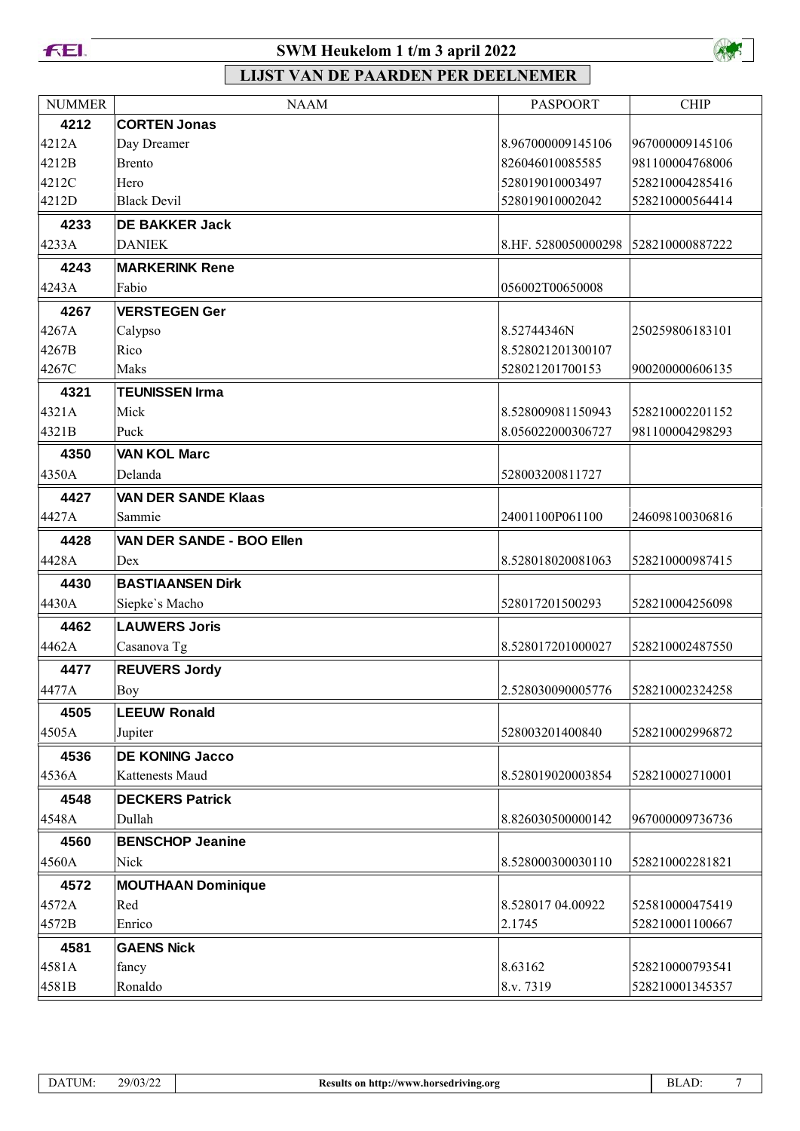



| <b>NUMMER</b> | <b>NAAM</b>                      | <b>PASPOORT</b>                     | <b>CHIP</b>     |
|---------------|----------------------------------|-------------------------------------|-----------------|
| 4212          | <b>CORTEN Jonas</b>              |                                     |                 |
| 4212A         | Day Dreamer                      | 8.967000009145106                   | 967000009145106 |
| 4212B         | <b>Brento</b>                    | 826046010085585                     | 981100004768006 |
| 4212C         | Hero                             | 528019010003497                     | 528210004285416 |
| 4212D         | <b>Black Devil</b>               | 528019010002042                     | 528210000564414 |
| 4233          | <b>DE BAKKER Jack</b>            |                                     |                 |
| 4233A         | <b>DANIEK</b>                    | 8.HF. 5280050000298 528210000887222 |                 |
| 4243          | <b>MARKERINK Rene</b>            |                                     |                 |
| 4243A         | Fabio                            | 056002T00650008                     |                 |
| 4267          | <b>VERSTEGEN Ger</b>             |                                     |                 |
| 4267A         | Calypso                          | 8.52744346N                         | 250259806183101 |
| 4267B         | Rico                             | 8.528021201300107                   |                 |
| 4267C         | Maks                             | 528021201700153                     | 900200000606135 |
| 4321          | <b>TEUNISSEN Irma</b>            |                                     |                 |
| 4321A         | Mick                             | 8.528009081150943                   | 528210002201152 |
| 4321B         | Puck                             | 8.056022000306727                   | 981100004298293 |
| 4350          | <b>VAN KOL Marc</b>              |                                     |                 |
| 4350A         | Delanda                          | 528003200811727                     |                 |
| 4427          | <b>VAN DER SANDE Klaas</b>       |                                     |                 |
| 4427A         | Sammie                           | 24001100P061100                     | 246098100306816 |
| 4428          | VAN DER SANDE - BOO Ellen        |                                     |                 |
| 4428A         | Dex                              | 8.528018020081063                   | 528210000987415 |
| 4430          | <b>BASTIAANSEN Dirk</b>          |                                     |                 |
| 4430A         | Siepke's Macho                   | 528017201500293                     | 528210004256098 |
| 4462          | <b>LAUWERS Joris</b>             |                                     |                 |
| 4462A         | Casanova Tg                      | 8.528017201000027                   | 528210002487550 |
| 4477          | <b>REUVERS Jordy</b>             |                                     |                 |
| 4477A         | Boy                              | 2.528030090005776                   | 528210002324258 |
| 4505          | <b>LEEUW Ronald</b>              |                                     |                 |
| 4505A         | Jupiter                          | 528003201400840                     | 528210002996872 |
| 4536          | <b>DE KONING Jacco</b>           |                                     |                 |
| 4536A         | Kattenests Maud                  | 8.528019020003854                   | 528210002710001 |
|               |                                  |                                     |                 |
| 4548<br>4548A | <b>DECKERS Patrick</b><br>Dullah | 8.826030500000142                   | 967000009736736 |
|               |                                  |                                     |                 |
| 4560          | <b>BENSCHOP Jeanine</b>          |                                     |                 |
| 4560A         | Nick                             | 8.528000300030110                   | 528210002281821 |
| 4572          | <b>MOUTHAAN Dominique</b>        |                                     |                 |
| 4572A         | Red                              | 8.528017 04.00922                   | 525810000475419 |
| 4572B         | Enrico                           | 2.1745                              | 528210001100667 |
| 4581          | <b>GAENS Nick</b>                |                                     |                 |
| 4581A         | fancy                            | 8.63162                             | 528210000793541 |
| 4581B         | Ronaldo                          | 8.v. 7319                           | 528210001345357 |

| DATUM: | 29/03/22 |
|--------|----------|
|        |          |